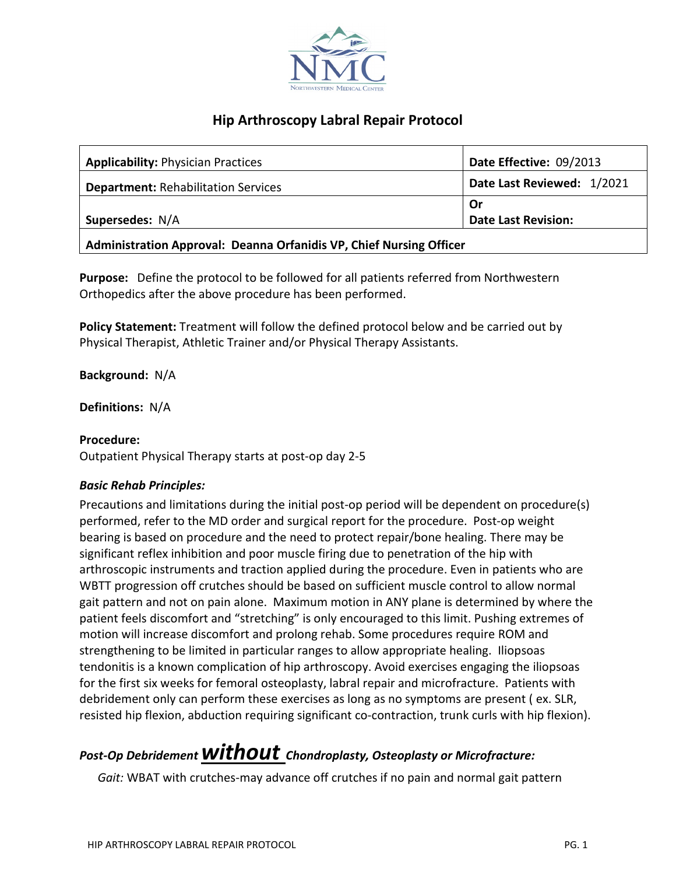

## **Hip Arthroscopy Labral Repair Protocol**

| <b>Applicability: Physician Practices</b>                           | Date Effective: 09/2013    |
|---------------------------------------------------------------------|----------------------------|
| <b>Department: Rehabilitation Services</b>                          | Date Last Reviewed: 1/2021 |
|                                                                     | .Or                        |
| Supersedes: N/A                                                     | <b>Date Last Revision:</b> |
| Administration Approval: Deanna Orfanidis VP, Chief Nursing Officer |                            |

**Purpose:** Define the protocol to be followed for all patients referred from Northwestern Orthopedics after the above procedure has been performed.

**Policy Statement:** Treatment will follow the defined protocol below and be carried out by Physical Therapist, Athletic Trainer and/or Physical Therapy Assistants.

**Background:** N/A

**Definitions:** N/A

## **Procedure:**

Outpatient Physical Therapy starts at post-op day 2-5

## *Basic Rehab Principles:*

Precautions and limitations during the initial post-op period will be dependent on procedure(s) performed, refer to the MD order and surgical report for the procedure. Post-op weight bearing is based on procedure and the need to protect repair/bone healing. There may be significant reflex inhibition and poor muscle firing due to penetration of the hip with arthroscopic instruments and traction applied during the procedure. Even in patients who are WBTT progression off crutches should be based on sufficient muscle control to allow normal gait pattern and not on pain alone. Maximum motion in ANY plane is determined by where the patient feels discomfort and "stretching" is only encouraged to this limit. Pushing extremes of motion will increase discomfort and prolong rehab. Some procedures require ROM and strengthening to be limited in particular ranges to allow appropriate healing. Iliopsoas tendonitis is a known complication of hip arthroscopy. Avoid exercises engaging the iliopsoas for the first six weeks for femoral osteoplasty, labral repair and microfracture. Patients with debridement only can perform these exercises as long as no symptoms are present ( ex. SLR, resisted hip flexion, abduction requiring significant co-contraction, trunk curls with hip flexion).

# *Post-Op Debridement without Chondroplasty, Osteoplasty or Microfracture:*

 *Gait:* WBAT with crutches-may advance off crutches if no pain and normal gait pattern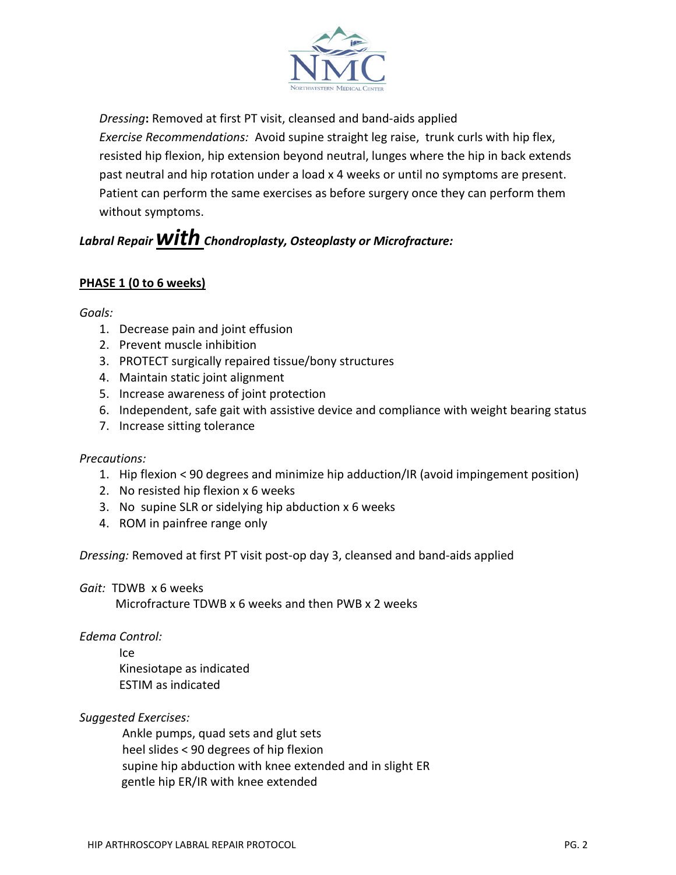

*Dressing***:** Removed at first PT visit, cleansed and band-aids applied

*Exercise Recommendations:* Avoid supine straight leg raise, trunk curls with hip flex, resisted hip flexion, hip extension beyond neutral, lunges where the hip in back extends past neutral and hip rotation under a load x 4 weeks or until no symptoms are present. Patient can perform the same exercises as before surgery once they can perform them without symptoms.

# Labral Repair **WITh** Chondroplasty, Osteoplasty or Microfracture:

## **PHASE 1 (0 to 6 weeks)**

*Goals:*

- 1. Decrease pain and joint effusion
- 2. Prevent muscle inhibition
- 3. PROTECT surgically repaired tissue/bony structures
- 4. Maintain static joint alignment
- 5. Increase awareness of joint protection
- 6. Independent, safe gait with assistive device and compliance with weight bearing status
- 7. Increase sitting tolerance

#### *Precautions:*

- 1. Hip flexion < 90 degrees and minimize hip adduction/IR (avoid impingement position)
- 2. No resisted hip flexion x 6 weeks
- 3. No supine SLR or sidelying hip abduction x 6 weeks
- 4. ROM in painfree range only

*Dressing:* Removed at first PT visit post-op day 3, cleansed and band-aids applied

*Gait:* TDWB x 6 weeks

Microfracture TDWB x 6 weeks and then PWB x 2 weeks

*Edema Control:*

Ice Kinesiotape as indicated ESTIM as indicated

## *Suggested Exercises:*

Ankle pumps, quad sets and glut sets heel slides < 90 degrees of hip flexion supine hip abduction with knee extended and in slight ER gentle hip ER/IR with knee extended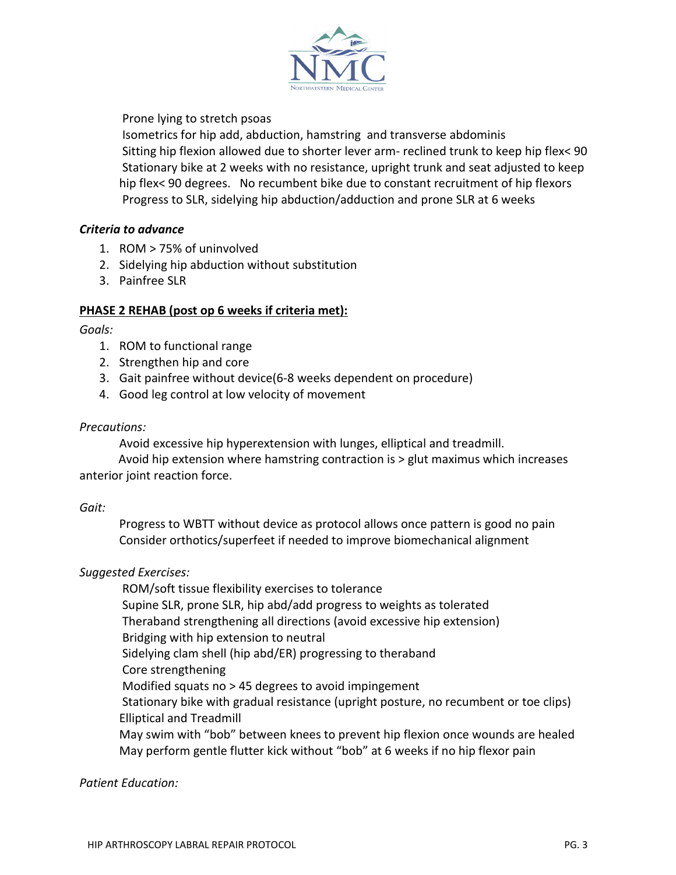

Prone lying to stretch psoas

Isometrics for hip add, abduction, hamstring and transverse abdominis Sitting hip flexion allowed due to shorter lever arm- reclined trunk to keep hip flex< 90 Stationary bike at 2 weeks with no resistance, upright trunk and seat adjusted to keep hip flex< 90 degrees. No recumbent bike due to constant recruitment of hip flexors Progress to SLR, sidelying hip abduction/adduction and prone SLR at 6 weeks

## *Criteria to advance*

- 1. ROM > 75% of uninvolved
- 2. Sidelying hip abduction without substitution
- 3. Painfree SLR

## **PHASE 2 REHAB (post op 6 weeks if criteria met):**

## *Goals:*

- 1. ROM to functional range
- 2. Strengthen hip and core
- 3. Gait painfree without device(6-8 weeks dependent on procedure)
- 4. Good leg control at low velocity of movement

## *Precautions:*

Avoid excessive hip hyperextension with lunges, elliptical and treadmill.

 Avoid hip extension where hamstring contraction is > glut maximus which increases anterior joint reaction force.

## *Gait:*

Progress to WBTT without device as protocol allows once pattern is good no pain Consider orthotics/superfeet if needed to improve biomechanical alignment

## *Suggested Exercises:*

ROM/soft tissue flexibility exercises to tolerance Supine SLR, prone SLR, hip abd/add progress to weights as tolerated Theraband strengthening all directions (avoid excessive hip extension) Bridging with hip extension to neutral Sidelying clam shell (hip abd/ER) progressing to theraband Core strengthening Modified squats no > 45 degrees to avoid impingement Stationary bike with gradual resistance (upright posture, no recumbent or toe clips) Elliptical and Treadmill May swim with "bob" between knees to prevent hip flexion once wounds are healed May perform gentle flutter kick without "bob" at 6 weeks if no hip flexor pain

## *Patient Education:*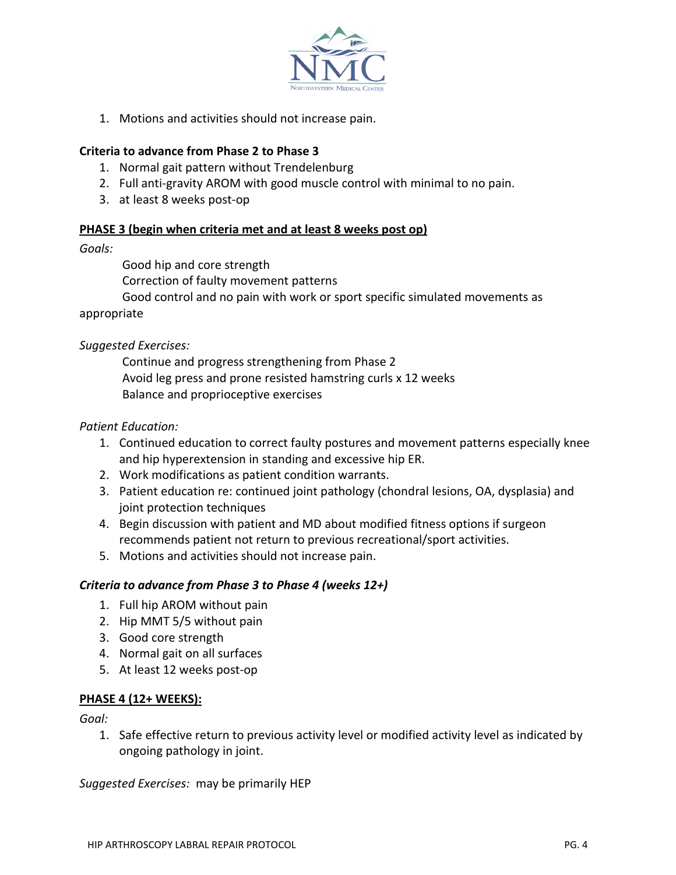

1. Motions and activities should not increase pain.

## **Criteria to advance from Phase 2 to Phase 3**

- 1. Normal gait pattern without Trendelenburg
- 2. Full anti-gravity AROM with good muscle control with minimal to no pain.
- 3. at least 8 weeks post-op

## **PHASE 3 (begin when criteria met and at least 8 weeks post op)**

#### *Goals:*

Good hip and core strength

Correction of faulty movement patterns

Good control and no pain with work or sport specific simulated movements as

#### appropriate

## *Suggested Exercises:*

Continue and progress strengthening from Phase 2 Avoid leg press and prone resisted hamstring curls x 12 weeks Balance and proprioceptive exercises

## *Patient Education:*

- 1. Continued education to correct faulty postures and movement patterns especially knee and hip hyperextension in standing and excessive hip ER.
- 2. Work modifications as patient condition warrants.
- 3. Patient education re: continued joint pathology (chondral lesions, OA, dysplasia) and joint protection techniques
- 4. Begin discussion with patient and MD about modified fitness options if surgeon recommends patient not return to previous recreational/sport activities.
- 5. Motions and activities should not increase pain.

## *Criteria to advance from Phase 3 to Phase 4 (weeks 12+)*

- 1. Full hip AROM without pain
- 2. Hip MMT 5/5 without pain
- 3. Good core strength
- 4. Normal gait on all surfaces
- 5. At least 12 weeks post-op

## **PHASE 4 (12+ WEEKS):**

*Goal:* 

1. Safe effective return to previous activity level or modified activity level as indicated by ongoing pathology in joint.

*Suggested Exercises:* may be primarily HEP